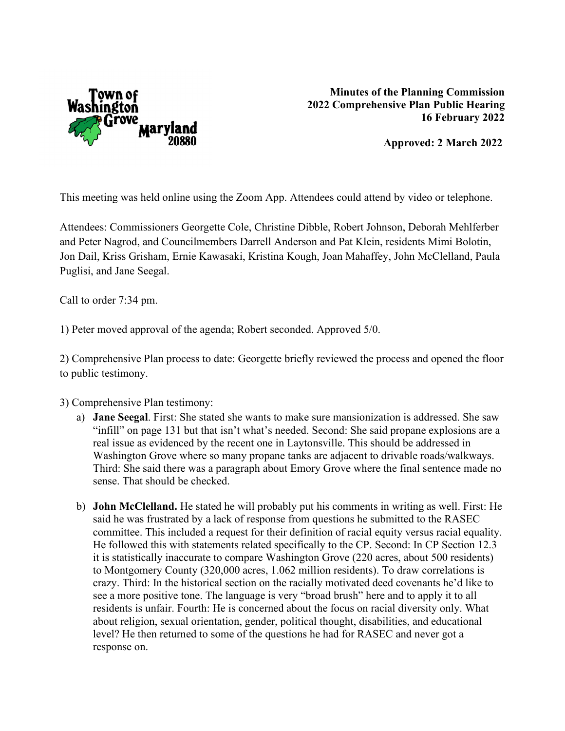

 **Approved: 2 March 2022**

This meeting was held online using the Zoom App. Attendees could attend by video or telephone.

Attendees: Commissioners Georgette Cole, Christine Dibble, Robert Johnson, Deborah Mehlferber and Peter Nagrod, and Councilmembers Darrell Anderson and Pat Klein, residents Mimi Bolotin, Jon Dail, Kriss Grisham, Ernie Kawasaki, Kristina Kough, Joan Mahaffey, John McClelland, Paula Puglisi, and Jane Seegal.

Call to order 7:34 pm.

1) Peter moved approval of the agenda; Robert seconded. Approved 5/0.

2) Comprehensive Plan process to date: Georgette briefly reviewed the process and opened the floor to public testimony.

## 3) Comprehensive Plan testimony:

- a) **Jane Seegal**. First: She stated she wants to make sure mansionization is addressed. She saw "infill" on page 131 but that isn't what's needed. Second: She said propane explosions are a real issue as evidenced by the recent one in Laytonsville. This should be addressed in Washington Grove where so many propane tanks are adjacent to drivable roads/walkways. Third: She said there was a paragraph about Emory Grove where the final sentence made no sense. That should be checked.
- b) **John McClelland.** He stated he will probably put his comments in writing as well. First: He said he was frustrated by a lack of response from questions he submitted to the RASEC committee. This included a request for their definition of racial equity versus racial equality. He followed this with statements related specifically to the CP. Second: In CP Section 12.3 it is statistically inaccurate to compare Washington Grove (220 acres, about 500 residents) to Montgomery County (320,000 acres, 1.062 million residents). To draw correlations is crazy. Third: In the historical section on the racially motivated deed covenants he'd like to see a more positive tone. The language is very "broad brush" here and to apply it to all residents is unfair. Fourth: He is concerned about the focus on racial diversity only. What about religion, sexual orientation, gender, political thought, disabilities, and educational level? He then returned to some of the questions he had for RASEC and never got a response on.